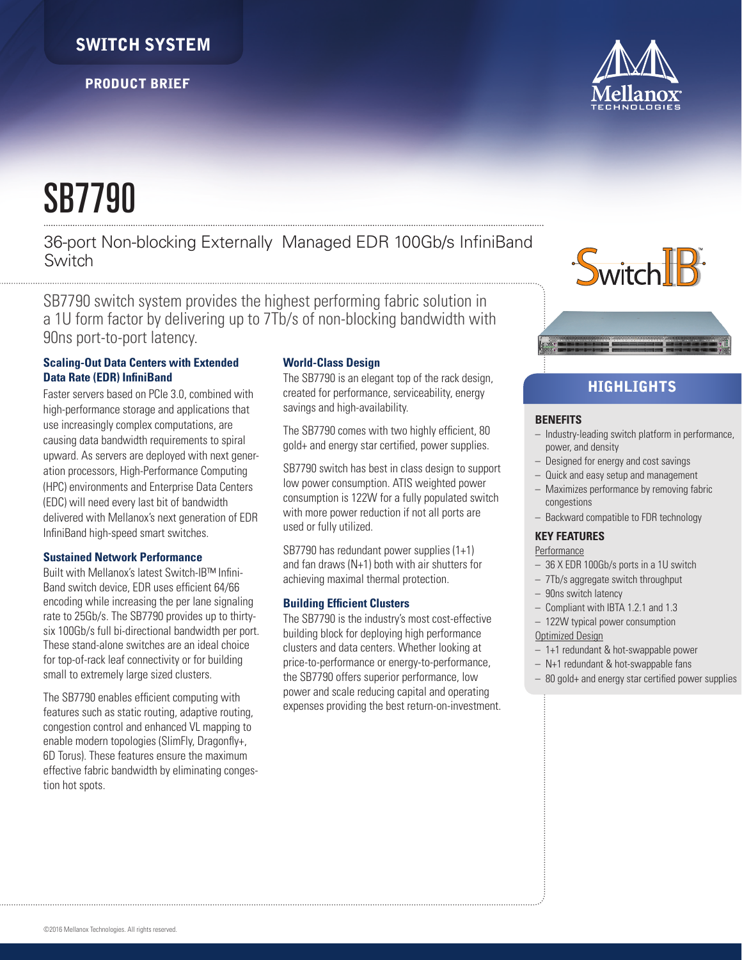# SWITCH SYSTEM

PRODUCT BRIEF



# SB7790

36-port Non-blocking Externally Managed EDR 100Gb/s InfiniBand Switch

SB7790 switch system provides the highest performing fabric solution in a 1U form factor by delivering up to 7Tb/s of non-blocking bandwidth with 90ns port-to-port latency.

## **Scaling-Out Data Centers with Extended Data Rate (EDR) InfiniBand**

Faster servers based on PCIe 3.0, combined with high-performance storage and applications that use increasingly complex computations, are causing data bandwidth requirements to spiral upward. As servers are deployed with next generation processors, High-Performance Computing (HPC) environments and Enterprise Data Centers (EDC) will need every last bit of bandwidth delivered with Mellanox's next generation of EDR InfiniBand high-speed smart switches.

## **Sustained Network Performance**

Built with Mellanox's latest Switch-IB™ Infini-Band switch device, EDR uses efficient 64/66 encoding while increasing the per lane signaling rate to 25Gb/s. The SB7790 provides up to thirtysix 100Gb/s full bi-directional bandwidth per port. These stand-alone switches are an ideal choice for top-of-rack leaf connectivity or for building small to extremely large sized clusters.

The SB7790 enables efficient computing with features such as static routing, adaptive routing, congestion control and enhanced VL mapping to enable modern topologies (SlimFly, Dragonfly+, 6D Torus). These features ensure the maximum effective fabric bandwidth by eliminating congestion hot spots.

## **World-Class Design**

The SB7790 is an elegant top of the rack design, created for performance, serviceability, energy savings and high-availability.

The SB7790 comes with two highly efficient, 80 gold+ and energy star certified, power supplies.

SB7790 switch has best in class design to support low power consumption. ATIS weighted power consumption is 122W for a fully populated switch with more power reduction if not all ports are used or fully utilized.

SB7790 has redundant power supplies (1+1) and fan draws (N+1) both with air shutters for achieving maximal thermal protection.

## **Building Efficient Clusters**

The SB7790 is the industry's most cost-effective building block for deploying high performance clusters and data centers. Whether looking at price-to-performance or energy-to-performance, the SB7790 offers superior performance, low power and scale reducing capital and operating expenses providing the best return-on-investment.



## **HIGHLIGHTS**

## **BENEFITS**

- Industry-leading switch platform in performance, power, and density
- Designed for energy and cost savings
- Quick and easy setup and management
- Maximizes performance by removing fabric congestions
- Backward compatible to FDR technology

## **KEY FEATURES**

- **Performance**
- 36 X EDR 100Gb/s ports in a 1U switch
- 7Tb/s aggregate switch throughput
- 90ns switch latency
- Compliant with IBTA 1.2.1 and 1.3
- 122W typical power consumption
- Optimized Design
- 1+1 redundant & hot-swappable power
- N+1 redundant & hot-swappable fans
- 80 gold+ and energy star certified power supplies